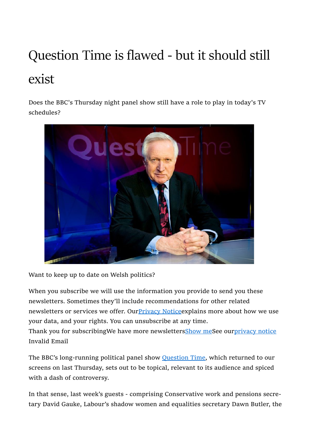# Question Time is flawed - but it should still exist

Does the BBC's Thursday night panel show still have a role to play in today's TV schedules?



Want to keep up to date on Welsh politics?

When you subscribe we will use the information you provide to send you these newsletters. Sometimes they'll include recommendations for other related newsletters or services we offer. Our Privacy Notice explains more about how we use your data, and your rights. You can unsubscribe at any time.

Thank you for subscribingWe have more newslettersShow meSee ourprivacy notice Invalid Email

The BBC's long-running political panel show **Question Time**, which returned to our screens on last Thursday, sets out to be topical, relevant to its audience and spiced with a dash of controversy.

In that sense, last week's guests - comprising Conservative work and pensions secretary David Gauke, Labour's shadow women and equalities secretary Dawn Butler, the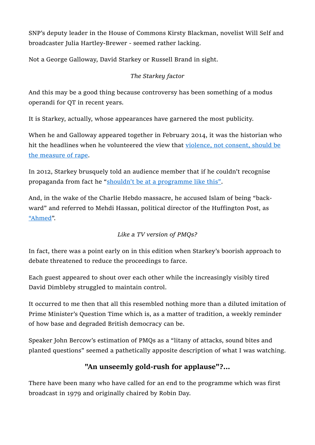SNP's deputy leader in the House of Commons Kirsty Blackman, novelist Will Self and broadcaster Julia Hartley-Brewer - seemed rather lacking.

Not a George Galloway, David Starkey or Russell Brand in sight.

#### The Starkey factor

And this may be a good thing because controversy has been something of a modus operandi for QT in recent years.

It is Starkey, actually, whose appearances have garnered the most publicity.

When he and Galloway appeared together in February 2014, it was the historian who hit the headlines when he volunteered the view that violence, not consent, should be the measure of rape.

In 2012, Starkey brusquely told an audience member that if he couldn't recognise propaganda from fact he "shouldn't be at a programme like this".

And, in the wake of the Charlie Hebdo massacre, he accused Islam of being "backward" and referred to Mehdi Hassan, political director of the Huffington Post, as "Ahmed".

#### Like a TV version of PMQs?

In fact, there was a point early on in this edition when Starkey's boorish approach to debate threatened to reduce the proceedings to farce.

Each guest appeared to shout over each other while the increasingly visibly tired David Dimbleby struggled to maintain control.

It occurred to me then that all this resembled nothing more than a diluted imitation of Prime Minister's Question Time which is, as a matter of tradition, a weekly reminder of how base and degraded British democracy can be.

Speaker John Bercow's estimation of PMQs as a "litany of attacks, sound bites and planted questions" seemed a pathetically apposite description of what I was watching.

## "An unseemly gold-rush for applause"?...

There have been many who have called for an end to the programme which was first broadcast in 1979 and originally chaired by Robin Day.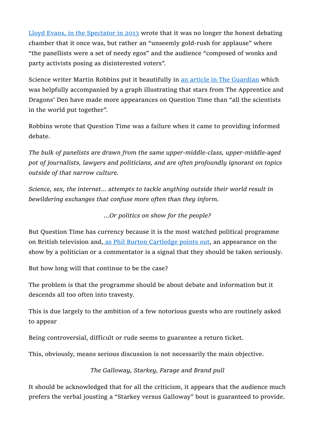Lloyd Evans, in the Spectator in 2013 wrote that it was no longer the honest debating chamber that it once was, but rather an "unseemly gold-rush for applause" where "the panellists were a set of needy egos" and the audience "composed of wonks and party activists posing as disinterested voters".

Science writer Martin Robbins put it beautifully in an article in The Guardian which was helpfully accompanied by a graph illustrating that stars from The Apprentice and Dragons' Den have made more appearances on Question Time than "all the scientists in the world put together".

Robbins wrote that Question Time was a failure when it came to providing informed debate.

The bulk of panelists are drawn from the same upper-middle-class, upper-middle-aged pot of journalists, lawyers and politicians, and are often profoundly ignorant on topics outside of that narrow culture.

Science, sex, the internet... attempts to tackle anything outside their world result in bewildering exchanges that confuse more often than they inform.

...Or politics on show for the people?

But Question Time has currency because it is the most watched political programme on British television and, as Phil Burton Cartledge points out, an appearance on the show by a politician or a commentator is a signal that they should be taken seriously.

But how long will that continue to be the case?

The problem is that the programme should be about debate and information but it descends all too often into travesty.

This is due largely to the ambition of a few notorious guests who are routinely asked to appear

Being controversial, difficult or rude seems to guarantee a return ticket.

This, obviously, means serious discussion is not necessarily the main objective.

The Galloway, Starkey, Farage and Brand pull

It should be acknowledged that for all the criticism, it appears that the audience much prefers the verbal jousting a "Starkey versus Galloway" bout is guaranteed to provide.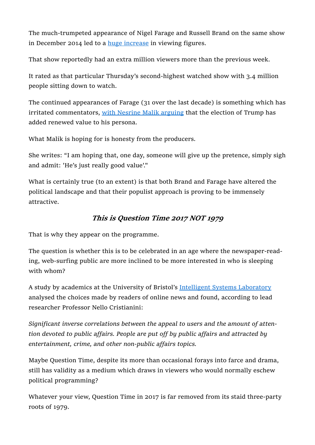The much-trumpeted appearance of Nigel Farage and Russell Brand on the same show in December 2014 led to a huge increase in viewing figures.

That show reportedly had an extra million viewers more than the previous week.

It rated as that particular Thursday's second-highest watched show with 3.4 million people sitting down to watch.

The continued appearances of Farage (31 over the last decade) is something which has irritated commentators, with Nesrine Malik arguing that the election of Trump has added renewed value to his persona.

What Malik is hoping for is honesty from the producers.

She writes: "I am hoping that, one day, someone will give up the pretence, simply sigh and admit: 'He's just really good value'."

What is certainly true (to an extent) is that both Brand and Farage have altered the political landscape and that their populist approach is proving to be immensely attractive.

### This is Question Time 2017 NOT 1979

That is why they appear on the programme.

The question is whether this is to be celebrated in an age where the newspaper-reading, web-surfing public are more inclined to be more interested in who is sleeping with whom?

A study by academics at the University of Bristol's Intelligent Systems Laboratory analysed the choices made by readers of online news and found, according to lead researcher Professor Nello Cristianini:

Significant inverse correlations between the appeal to users and the amount of attention devoted to public affairs. People are put off by public affairs and attracted by entertainment, crime, and other non-public affairs topics.

Maybe Question Time, despite its more than occasional forays into farce and drama, still has validity as a medium which draws in viewers who would normally eschew political programming?

Whatever your view, Question Time in 2017 is far removed from its staid three-party roots of 1979.